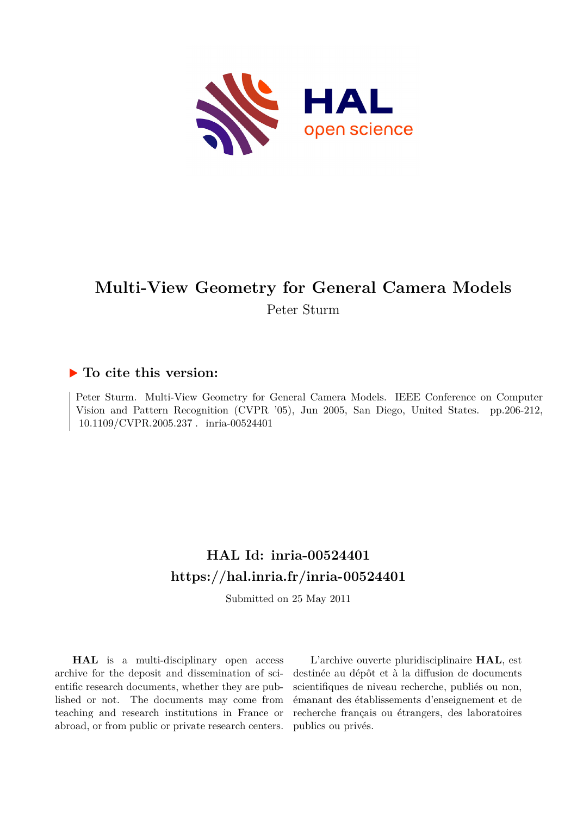

# **Multi-View Geometry for General Camera Models** Peter Sturm

# **To cite this version:**

Peter Sturm. Multi-View Geometry for General Camera Models. IEEE Conference on Computer Vision and Pattern Recognition (CVPR '05), Jun 2005, San Diego, United States. pp.206-212, 10.1109/CVPR.2005.237 . inria-00524401

# **HAL Id: inria-00524401 <https://hal.inria.fr/inria-00524401>**

Submitted on 25 May 2011

**HAL** is a multi-disciplinary open access archive for the deposit and dissemination of scientific research documents, whether they are published or not. The documents may come from teaching and research institutions in France or abroad, or from public or private research centers.

L'archive ouverte pluridisciplinaire **HAL**, est destinée au dépôt et à la diffusion de documents scientifiques de niveau recherche, publiés ou non, émanant des établissements d'enseignement et de recherche français ou étrangers, des laboratoires publics ou privés.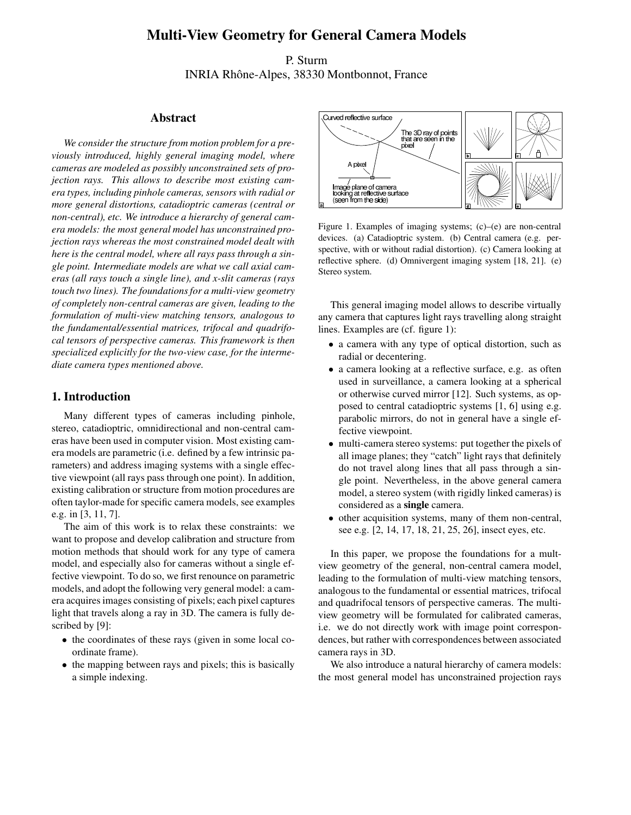# **Multi-View Geometry for General Camera Models**

P. Sturm INRIA Rhône-Alpes, 38330 Montbonnot, France

# **Abstract**

*We consider the structure from motion problem for a previously introduced, highly general imaging model, where cameras are modeled as possibly unconstrained sets of projection rays. This allows to describe most existing camera types, including pinhole cameras, sensors with radial or more general distortions, catadioptric cameras (central or non-central), etc. We introduce a hierarchy of general camera models: the most general model has unconstrained projection rays whereas the most constrained model dealt with here is the central model, where all rays pass through a single point. Intermediate models are what we call axial cameras (all rays touch a single line), and x-slit cameras (rays touch two lines). The foundationsfor a multi-view geometry of completely non-central cameras are given, leading to the formulation of multi-view matching tensors, analogous to the fundamental/essential matrices, trifocal and quadrifocal tensors of perspective cameras. This framework is then specialized explicitly for the two-view case, for the intermediate camera types mentioned above.*

# **1. Introduction**

Many different types of cameras including pinhole, stereo, catadioptric, omnidirectional and non-central cameras have been used in computer vision. Most existing camera models are parametric (i.e. defined by a few intrinsic parameters) and address imaging systems with a single effective viewpoint (all rays pass through one point). In addition, existing calibration or structure from motion procedures are often taylor-made for specific camera models, see examples e.g. in [3, 11, 7].

The aim of this work is to relax these constraints: we want to propose and develop calibration and structure from motion methods that should work for any type of camera model, and especially also for cameras without a single effective viewpoint. To do so, we first renounce on parametric models, and adopt the following very general model: a camera acquiresimages consisting of pixels; each pixel captures light that travels along a ray in 3D. The camera is fully described by [9]:

- the coordinates of these rays (given in some local coordinate frame).
- the mapping between rays and pixels; this is basically a simple indexing.



Figure 1. Examples of imaging systems; (c)–(e) are non-central devices. (a) Catadioptric system. (b) Central camera (e.g. perspective, with or without radial distortion). (c) Camera looking at reflective sphere. (d) Omnivergent imaging system [18, 21]. (e) Stereo system.

This general imaging model allows to describe virtually any camera that captures light rays travelling along straight lines. Examples are (cf. figure 1):

- a camera with any type of optical distortion, such as radial or decentering.
- a camera looking at a reflective surface, e.g. as often used in surveillance, a camera looking at a spherical or otherwise curved mirror [12]. Such systems, as opposed to central catadioptric systems [1, 6] using e.g. parabolic mirrors, do not in general have a single effective viewpoint.
- multi-camera stereo systems: put together the pixels of all image planes; they "catch" light rays that definitely do not travel along lines that all pass through a single point. Nevertheless, in the above general camera model, a stereo system (with rigidly linked cameras) is considered as a **single** camera.
- other acquisition systems, many of them non-central, see e.g. [2, 14, 17, 18, 21, 25, 26], insect eyes, etc.

In this paper, we propose the foundations for a multview geometry of the general, non-central camera model, leading to the formulation of multi-view matching tensors, analogous to the fundamental or essential matrices, trifocal and quadrifocal tensors of perspective cameras. The multiview geometry will be formulated for calibrated cameras, i.e. we do not directly work with image point correspondences, but rather with correspondences between associated camera rays in 3D.

We also introduce a natural hierarchy of camera models: the most general model has unconstrained projection rays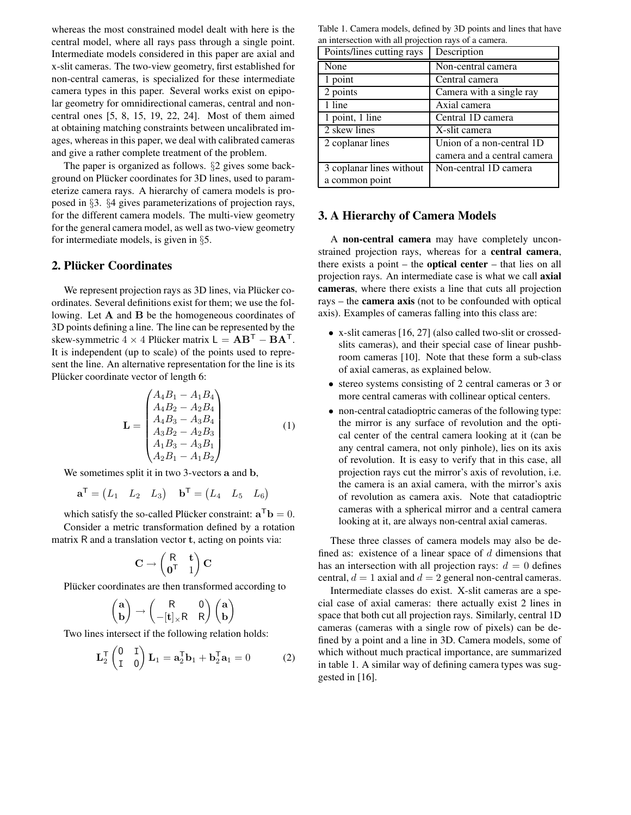whereas the most constrained model dealt with here is the central model, where all rays pass through a single point. Intermediate models considered in this paper are axial and x-slit cameras. The two-view geometry, first established for non-central cameras, is specialized for these intermediate camera types in this paper. Several works exist on epipolar geometry for omnidirectional cameras, central and noncentral ones [5, 8, 15, 19, 22, 24]. Most of them aimed at obtaining matching constraints between uncalibrated images, whereas in this paper, we deal with calibrated cameras and give a rather complete treatment of the problem.

The paper is organized as follows. §2 gives some background on Plücker coordinates for 3D lines, used to parameterize camera rays. A hierarchy of camera models is proposed in §3. §4 gives parameterizations of projection rays, for the different camera models. The multi-view geometry for the general camera model, as well as two-view geometry for intermediate models, is given in §5.

# **2. Plücker Coordinates**

We represent projection rays as 3D lines, via Plücker coordinates. Several definitions exist for them; we use the following. Let A and B be the homogeneous coordinates of 3D points defining a line. The line can be represented by the skew-symmetric 4 × 4 Plücker matrix  $L = AB<sup>T</sup> - BA<sup>T</sup>$ . It is independent (up to scale) of the points used to represent the line. An alternative representation for the line is its Plücker coordinate vector of length 6:

$$
\mathbf{L} = \begin{pmatrix} A_4B_1 - A_1B_4 \\ A_4B_2 - A_2B_4 \\ A_4B_3 - A_3B_4 \\ A_3B_2 - A_2B_3 \\ A_1B_3 - A_3B_1 \\ A_2B_1 - A_1B_2 \end{pmatrix}
$$
 (1)

We sometimes split it in two 3-vectors a and b,

$$
\mathbf{a}^{\mathsf{T}} = \begin{pmatrix} L_1 & L_2 & L_3 \end{pmatrix} \quad \mathbf{b}^{\mathsf{T}} = \begin{pmatrix} L_4 & L_5 & L_6 \end{pmatrix}
$$

which satisfy the so-called Plücker constraint:  $\mathbf{a}^T \mathbf{b} = 0$ . Consider a metric transformation defined by a rotation

matrix R and a translation vector t, acting on points via:

$$
\mathbf{C} \rightarrow \begin{pmatrix} \mathsf{R} & \mathbf{t} \\ \mathbf{0}^\mathsf{T} & 1 \end{pmatrix} \mathbf{C}
$$

Plücker coordinates are then transformed according to

$$
\begin{pmatrix}{\bf a}\\ {\bf b}\end{pmatrix}\rightarrow\begin{pmatrix}R&0\\-[t]_\times R&R\end{pmatrix}\begin{pmatrix}{\bf a}\\ {\bf b}\end{pmatrix}
$$

Two lines intersect if the following relation holds:

$$
\mathbf{L}_2^{\mathsf{T}} \begin{pmatrix} 0 & \mathsf{T} \\ \mathsf{T} & 0 \end{pmatrix} \mathbf{L}_1 = \mathbf{a}_2^{\mathsf{T}} \mathbf{b}_1 + \mathbf{b}_2^{\mathsf{T}} \mathbf{a}_1 = 0 \tag{2}
$$

Table 1. Camera models, defined by 3D points and lines that have an intersection with all projection rays of a camera.

| Points/lines cutting rays | Description                 |
|---------------------------|-----------------------------|
| None                      | Non-central camera          |
| 1 point                   | Central camera              |
| 2 points                  | Camera with a single ray    |
| 1 line                    | Axial camera                |
| 1 point, 1 line           | Central 1D camera           |
| 2 skew lines              | X-slit camera               |
| 2 coplanar lines          | Union of a non-central 1D   |
|                           | camera and a central camera |
| 3 coplanar lines without  | Non-central 1D camera       |
| a common point            |                             |

# **3. A Hierarchy of Camera Models**

A **non-central camera** may have completely unconstrained projection rays, whereas for a **central camera**, there exists a point – the **optical center** – that lies on all projection rays. An intermediate case is what we call **axial cameras**, where there exists a line that cuts all projection rays – the **camera axis** (not to be confounded with optical axis). Examples of cameras falling into this class are:

- x-slit cameras [16, 27] (also called two-slit or crossedslits cameras), and their special case of linear pushbroom cameras [10]. Note that these form a sub-class of axial cameras, as explained below.
- stereo systems consisting of 2 central cameras or 3 or more central cameras with collinear optical centers.
- non-central catadioptric cameras of the following type: the mirror is any surface of revolution and the optical center of the central camera looking at it (can be any central camera, not only pinhole), lies on its axis of revolution. It is easy to verify that in this case, all projection rays cut the mirror's axis of revolution, i.e. the camera is an axial camera, with the mirror's axis of revolution as camera axis. Note that catadioptric cameras with a spherical mirror and a central camera looking at it, are always non-central axial cameras.

These three classes of camera models may also be defined as: existence of a linear space of  $d$  dimensions that has an intersection with all projection rays:  $d = 0$  defines central,  $d = 1$  axial and  $d = 2$  general non-central cameras.

Intermediate classes do exist. X-slit cameras are a special case of axial cameras: there actually exist 2 lines in space that both cut all projection rays. Similarly, central 1D cameras (cameras with a single row of pixels) can be defined by a point and a line in 3D. Camera models, some of which without much practical importance, are summarized in table 1. A similar way of defining camera types was suggested in [16].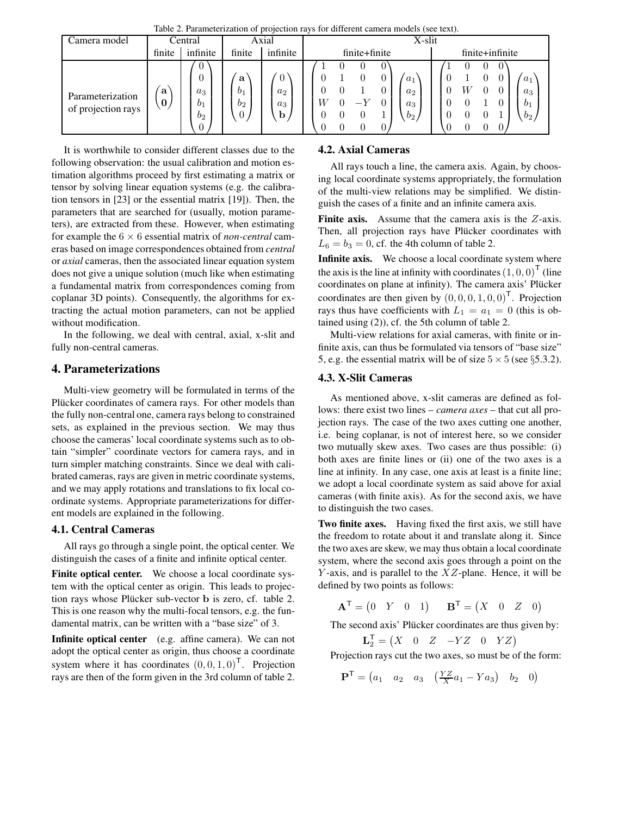| Table 2. I arameterization or projection rays for american camera models (see text). |                          |                                                |                                                 |                          |                                       |                                                          |  |
|--------------------------------------------------------------------------------------|--------------------------|------------------------------------------------|-------------------------------------------------|--------------------------|---------------------------------------|----------------------------------------------------------|--|
| Camera model                                                                         | Axial<br>Central         |                                                | X-slit                                          |                          |                                       |                                                          |  |
|                                                                                      | finite                   | infinite                                       | finite                                          | infinite                 | finite+finite                         | finite+infinite                                          |  |
| Parameterization<br>of projection rays                                               | $\mathbf{a}$<br>$\bf{0}$ | U<br>$a_3$<br>b <sub>1</sub><br>b <sub>2</sub> | a<br>b <sub>1</sub><br>$b_2$<br>$\vert 0 \vert$ | 0<br>$a_2$<br>$a_3$<br>b | U<br>$a_1$<br>$a_2$<br>$a_3$<br>$b_2$ | $\cup$<br>U<br>$a_1$<br>$a_3$<br>b <sub>1</sub><br>$b_2$ |  |

Table 2. Parameterization of projection rays for different camera models (see text).

It is worthwhile to consider different classes due to the following observation: the usual calibration and motion estimation algorithms proceed by first estimating a matrix or tensor by solving linear equation systems (e.g. the calibration tensors in [23] or the essential matrix [19]). Then, the parameters that are searched for (usually, motion parameters), are extracted from these. However, when estimating for example the  $6 \times 6$  essential matrix of *non-central* cameras based on image correspondences obtained from *central* or *axial* cameras, then the associated linear equation system does not give a unique solution (much like when estimating a fundamental matrix from correspondences coming from coplanar 3D points). Consequently, the algorithms for extracting the actual motion parameters, can not be applied without modification.

In the following, we deal with central, axial, x-slit and fully non-central cameras.

# **4. Parameterizations**

Multi-view geometry will be formulated in terms of the Plücker coordinates of camera rays. For other models than the fully non-central one, camera rays belong to constrained sets, as explained in the previous section. We may thus choose the cameras' local coordinate systems such as to obtain "simpler" coordinate vectors for camera rays, and in turn simpler matching constraints. Since we deal with calibrated cameras, rays are given in metric coordinate systems, and we may apply rotations and translations to fix local coordinate systems. Appropriate parameterizations for different models are explained in the following.

#### **4.1. Central Cameras**

All rays go through a single point, the optical center. We distinguish the cases of a finite and infinite optical center.

**Finite optical center.** We choose a local coordinate system with the optical center as origin. This leads to projection rays whose Plücker sub-vector b is zero, cf. table 2. This is one reason why the multi-focal tensors, e.g. the fundamental matrix, can be written with a "base size" of 3.

**Infinite optical center** (e.g. affine camera). We can not adopt the optical center as origin, thus choose a coordinate system where it has coordinates  $(0, 0, 1, 0)^\mathsf{T}$ . Projection rays are then of the form given in the 3rd column of table 2.

## **4.2. Axial Cameras**

All rays touch a line, the camera axis. Again, by choosing local coordinate systems appropriately, the formulation of the multi-view relations may be simplified. We distinguish the cases of a finite and an infinite camera axis.

Finite axis. Assume that the camera axis is the Z-axis. Then, all projection rays have Plücker coordinates with  $L_6 = b_3 = 0$ , cf. the 4th column of table 2.

**Infinite axis.** We choose a local coordinate system where the axis is the line at infinity with coordinates  $(1, 0, 0)^T$  (line coordinates on plane at infinity). The camera axis' Plücker coordinates are then given by  $(0, 0, 0, 1, 0, 0)^T$ . Projection rays thus have coefficients with  $L_1 = a_1 = 0$  (this is obtained using (2)), cf. the 5th column of table 2.

Multi-view relations for axial cameras, with finite or infinite axis, can thus be formulated via tensors of "base size" 5, e.g. the essential matrix will be of size  $5 \times 5$  (see §5.3.2).

# **4.3. X-Slit Cameras**

As mentioned above, x-slit cameras are defined as follows: there exist two lines – *camera axes* – that cut all projection rays. The case of the two axes cutting one another, i.e. being coplanar, is not of interest here, so we consider two mutually skew axes. Two cases are thus possible: (i) both axes are finite lines or (ii) one of the two axes is a line at infinity. In any case, one axis at least is a finite line; we adopt a local coordinate system as said above for axial cameras (with finite axis). As for the second axis, we have to distinguish the two cases.

**Two finite axes.** Having fixed the first axis, we still have the freedom to rotate about it and translate along it. Since the two axes are skew, we may thus obtain a local coordinate system, where the second axis goes through a point on the  $Y$ -axis, and is parallel to the  $XZ$ -plane. Hence, it will be defined by two points as follows:

$$
\mathbf{A}^{\mathsf{T}} = \begin{pmatrix} 0 & Y & 0 & 1 \end{pmatrix} \qquad \mathbf{B}^{\mathsf{T}} = \begin{pmatrix} X & 0 & Z & 0 \end{pmatrix}
$$

The second axis' Plücker coordinates are thus given by:

 $\mathbf{L}_2^{\mathsf{T}} = \begin{pmatrix} X & 0 & Z & -YZ & 0 & YZ \end{pmatrix}$ 

Projection rays cut the two axes, so must be of the form:

$$
\mathbf{P}^{\mathsf{T}} = \begin{pmatrix} a_1 & a_2 & a_3 & \left(\frac{YZ}{X}a_1 - Ya_3\right) & b_2 & 0 \end{pmatrix}
$$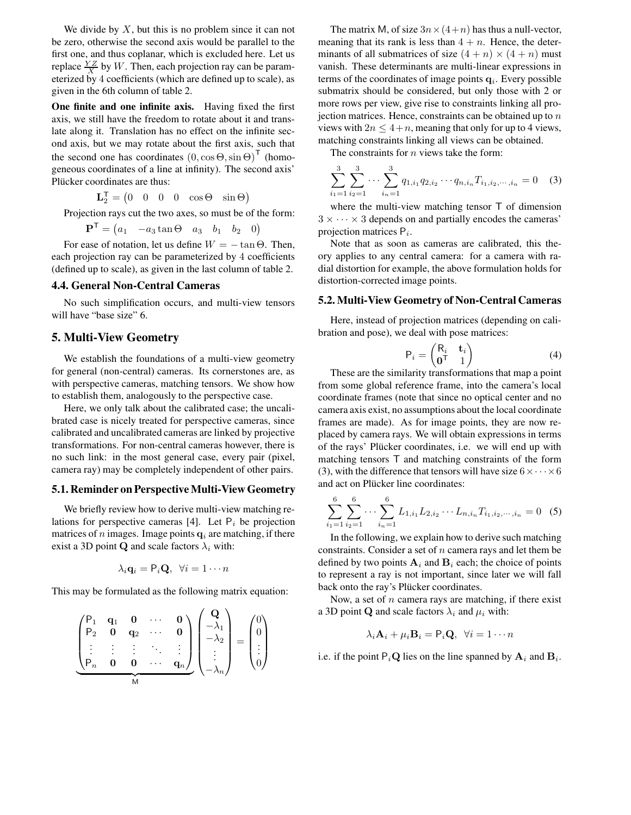We divide by  $X$ , but this is no problem since it can not be zero, otherwise the second axis would be parallel to the first one, and thus coplanar, which is excluded here. Let us replace  $\frac{YZ}{X}$  by W. Then, each projection ray can be parameterized by 4 coefficients (which are defined up to scale), as given in the 6th column of table 2.

**One finite and one infinite axis.** Having fixed the first axis, we still have the freedom to rotate about it and translate along it. Translation has no effect on the infinite second axis, but we may rotate about the first axis, such that the second one has coordinates  $(0, \cos \Theta, \sin \Theta)^{\mathsf{T}}$  (homogeneous coordinates of a line at infinity). The second axis' Plücker coordinates are thus:

$$
\mathbf{L}_2^{\mathsf{T}} = \begin{pmatrix} 0 & 0 & 0 & 0 & \cos \Theta & \sin \Theta \end{pmatrix}
$$

Projection rays cut the two axes, so must be of the form:

 $$ 

For ease of notation, let us define  $W = -\tan \Theta$ . Then, each projection ray can be parameterized by 4 coefficients (defined up to scale), as given in the last column of table 2.

#### **4.4. General Non-Central Cameras**

No such simplification occurs, and multi-view tensors will have "base size" 6.

# **5. Multi-View Geometry**

We establish the foundations of a multi-view geometry for general (non-central) cameras. Its cornerstones are, as with perspective cameras, matching tensors. We show how to establish them, analogously to the perspective case.

Here, we only talk about the calibrated case; the uncalibrated case is nicely treated for perspective cameras, since calibrated and uncalibrated cameras are linked by projective transformations. For non-central cameras however, there is no such link: in the most general case, every pair (pixel, camera ray) may be completely independent of other pairs.

#### **5.1. Reminder on PerspectiveMulti-ViewGeometry**

We briefly review how to derive multi-view matching relations for perspective cameras [4]. Let  $P_i$  be projection matrices of *n* images. Image points  $q_i$  are matching, if there exist a 3D point Q and scale factors  $\lambda_i$  with:

$$
\lambda_i \mathbf{q}_i = \mathsf{P}_i \mathbf{Q}, \ \forall i = 1 \cdots n
$$

This may be formulated as the following matrix equation:



The matrix M, of size  $3n \times (4+n)$  has thus a null-vector, meaning that its rank is less than  $4 + n$ . Hence, the determinants of all submatrices of size  $(4 + n) \times (4 + n)$  must vanish. These determinants are multi-linear expressions in terms of the coordinates of image points  $q_i$ . Every possible submatrix should be considered, but only those with 2 or more rows per view, give rise to constraints linking all projection matrices. Hence, constraints can be obtained up to  $n$ views with  $2n \leq 4+n$ , meaning that only for up to 4 views, matching constraints linking all views can be obtained.

The constraints for  $n$  views take the form:

$$
\sum_{i_1=1}^3 \sum_{i_2=1}^3 \cdots \sum_{i_n=1}^3 q_{1,i_1} q_{2,i_2} \cdots q_{n,i_n} T_{i_1,i_2,\cdots,i_n} = 0 \quad (3)
$$

where the multi-view matching tensor T of dimension  $3 \times \cdots \times 3$  depends on and partially encodes the cameras' projection matrices  $P_i$ .

Note that as soon as cameras are calibrated, this theory applies to any central camera: for a camera with radial distortion for example, the above formulation holds for distortion-corrected image points.

#### **5.2. Multi-View Geometry of Non-Central Cameras**

Here, instead of projection matrices (depending on calibration and pose), we deal with pose matrices:

$$
\mathsf{P}_i = \begin{pmatrix} \mathsf{R}_i & \mathbf{t}_i \\ \mathbf{0}^\mathsf{T} & 1 \end{pmatrix} \tag{4}
$$

These are the similarity transformations that map a point from some global reference frame, into the camera's local coordinate frames (note that since no optical center and no camera axis exist, no assumptions about the local coordinate frames are made). As for image points, they are now replaced by camera rays. We will obtain expressions in terms of the rays' Plücker coordinates, i.e. we will end up with matching tensors T and matching constraints of the form (3), with the difference that tensors will have size  $6 \times \cdots \times 6$ and act on Plücker line coordinates:

$$
\sum_{i_1=1}^6 \sum_{i_2=1}^6 \cdots \sum_{i_n=1}^6 L_{1,i_1} L_{2,i_2} \cdots L_{n,i_n} T_{i_1,i_2,\cdots,i_n} = 0 \quad (5)
$$

In the following, we explain how to derive such matching constraints. Consider a set of n camera rays and let them be defined by two points  $A_i$  and  $B_i$  each; the choice of points to represent a ray is not important, since later we will fall back onto the ray's Plücker coordinates.

Now, a set of  $n$  camera rays are matching, if there exist a 3D point Q and scale factors  $\lambda_i$  and  $\mu_i$  with:

$$
\lambda_i \mathbf{A}_i + \mu_i \mathbf{B}_i = \mathsf{P}_i \mathbf{Q}, \ \forall i = 1 \cdots n
$$

i.e. if the point  $P_i \mathbf{Q}$  lies on the line spanned by  $\mathbf{A}_i$  and  $\mathbf{B}_i$ .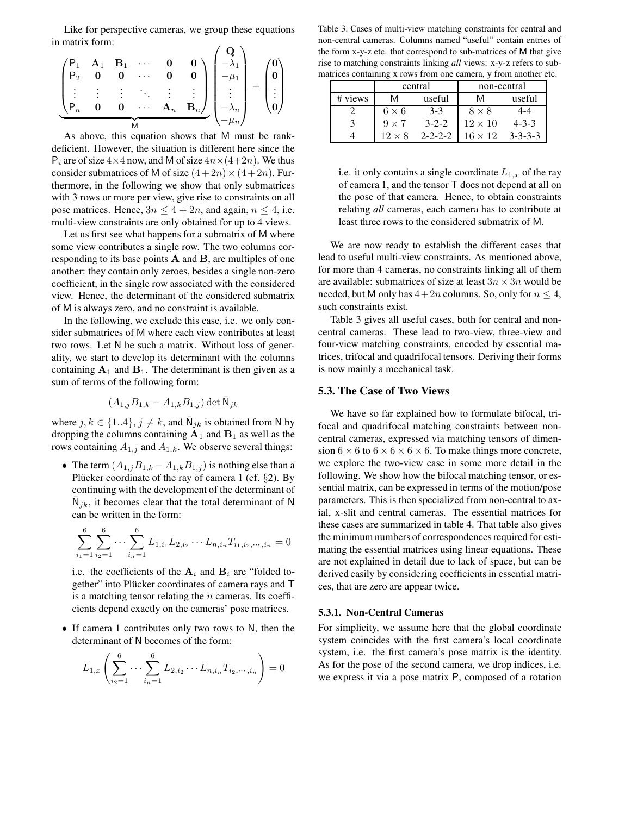Like for perspective cameras, we group these equations in matrix form:

$$
\underbrace{\begin{pmatrix} P_1 & A_1 & B_1 & \cdots & 0 & 0 \\ P_2 & 0 & 0 & \cdots & 0 & 0 \\ \vdots & \vdots & \vdots & \ddots & \vdots & \vdots \\ P_n & 0 & 0 & \cdots & A_n & B_n \end{pmatrix}}_{M} \begin{pmatrix} Q \\ -\lambda_1 \\ -\mu_1 \\ \vdots \\ -\lambda_n \\ -\mu_n \end{pmatrix} = \begin{pmatrix} 0 \\ 0 \\ \vdots \\ 0 \end{pmatrix}
$$

As above, this equation shows that M must be rankdeficient. However, the situation is different here since the  $P_i$  are of size  $4\times 4$  now, and M of size  $4n\times (4+2n)$ . We thus consider submatrices of M of size  $(4+2n) \times (4+2n)$ . Furthermore, in the following we show that only submatrices with 3 rows or more per view, give rise to constraints on all pose matrices. Hence,  $3n \leq 4 + 2n$ , and again,  $n \leq 4$ , i.e. multi-view constraints are only obtained for up to 4 views.

Let us first see what happens for a submatrix of M where some view contributes a single row. The two columns corresponding to its base points A and B, are multiples of one another: they contain only zeroes, besides a single non-zero coefficient, in the single row associated with the considered view. Hence, the determinant of the considered submatrix of M is always zero, and no constraint is available.

In the following, we exclude this case, i.e. we only consider submatrices of M where each view contributes at least two rows. Let N be such a matrix. Without loss of generality, we start to develop its determinant with the columns containing  $A_1$  and  $B_1$ . The determinant is then given as a sum of terms of the following form:

$$
(A_{1,j}B_{1,k} - A_{1,k}B_{1,j})
$$
det  $\overline{\mathsf{N}}_{jk}$ 

where  $j, k \in \{1..4\}, j \neq k$ , and  $\overline{N}_{jk}$  is obtained from N by dropping the columns containing  $A_1$  and  $B_1$  as well as the rows containing  $A_{1,j}$  and  $A_{1,k}$ . We observe several things:

• The term  $(A_{1,j}B_{1,k} - A_{1,k}B_{1,j})$  is nothing else than a Plücker coordinate of the ray of camera 1 (cf.  $\S$ 2). By continuing with the development of the determinant of  $\bar{N}_{jk}$ , it becomes clear that the total determinant of N can be written in the form:

$$
\sum_{i_1=1}^6 \sum_{i_2=1}^6 \cdots \sum_{i_n=1}^6 L_{1,i_1} L_{2,i_2} \cdots L_{n,i_n} T_{i_1,i_2,\cdots,i_n} = 0
$$

i.e. the coefficients of the  $A_i$  and  $B_i$  are "folded together" into Plücker coordinates of camera rays and T is a matching tensor relating the  $n$  cameras. Its coefficients depend exactly on the cameras' pose matrices.

• If camera 1 contributes only two rows to N, then the determinant of N becomes of the form:

$$
L_{1,x}\left(\sum_{i_2=1}^6\cdots\sum_{i_n=1}^6 L_{2,i_2}\cdots L_{n,i_n}T_{i_2,\cdots,i_n}\right)=0
$$

Table 3. Cases of multi-view matching constraints for central and non-central cameras. Columns named "useful" contain entries of the form x-y-z etc. that correspond to sub-matrices of M that give rise to matching constraints linking *all* views: x-y-z refers to submatrices containing x rows from one camera, y from another etc.

|         | central       |                 | non-central    |                 |  |
|---------|---------------|-----------------|----------------|-----------------|--|
| # views | М             | useful          | м              | useful          |  |
|         | $6 \times 6$  | $3-3$           | $8 \times 8$   |                 |  |
|         | $9 \times 7$  | $3 - 2 - 2$     | $12 \times 10$ | $4 - 3 - 3$     |  |
|         | $12 \times 8$ | $2 - 2 - 2 - 2$ | $16 \times 12$ | $3 - 3 - 3 - 3$ |  |

i.e. it only contains a single coordinate  $L_{1,x}$  of the ray of camera 1, and the tensor T does not depend at all on the pose of that camera. Hence, to obtain constraints relating *all* cameras, each camera has to contribute at least three rows to the considered submatrix of M.

We are now ready to establish the different cases that lead to useful multi-view constraints. As mentioned above, for more than 4 cameras, no constraints linking all of them are available: submatrices of size at least  $3n \times 3n$  would be needed, but M only has  $4+2n$  columns. So, only for  $n \leq 4$ , such constraints exist.

Table 3 gives all useful cases, both for central and noncentral cameras. These lead to two-view, three-view and four-view matching constraints, encoded by essential matrices, trifocal and quadrifocal tensors. Deriving their forms is now mainly a mechanical task.

# **5.3. The Case of Two Views**

We have so far explained how to formulate bifocal, trifocal and quadrifocal matching constraints between noncentral cameras, expressed via matching tensors of dimension  $6 \times 6$  to  $6 \times 6 \times 6 \times 6$ . To make things more concrete, we explore the two-view case in some more detail in the following. We show how the bifocal matching tensor, or essential matrix, can be expressed in terms of the motion/pose parameters. This is then specialized from non-central to axial, x-slit and central cameras. The essential matrices for these cases are summarized in table 4. That table also gives the minimum numbers of correspondences required for estimating the essential matrices using linear equations. These are not explained in detail due to lack of space, but can be derived easily by considering coefficients in essential matrices, that are zero are appear twice.

#### **5.3.1. Non-Central Cameras**

For simplicity, we assume here that the global coordinate system coincides with the first camera's local coordinate system, i.e. the first camera's pose matrix is the identity. As for the pose of the second camera, we drop indices, i.e. we express it via a pose matrix P, composed of a rotation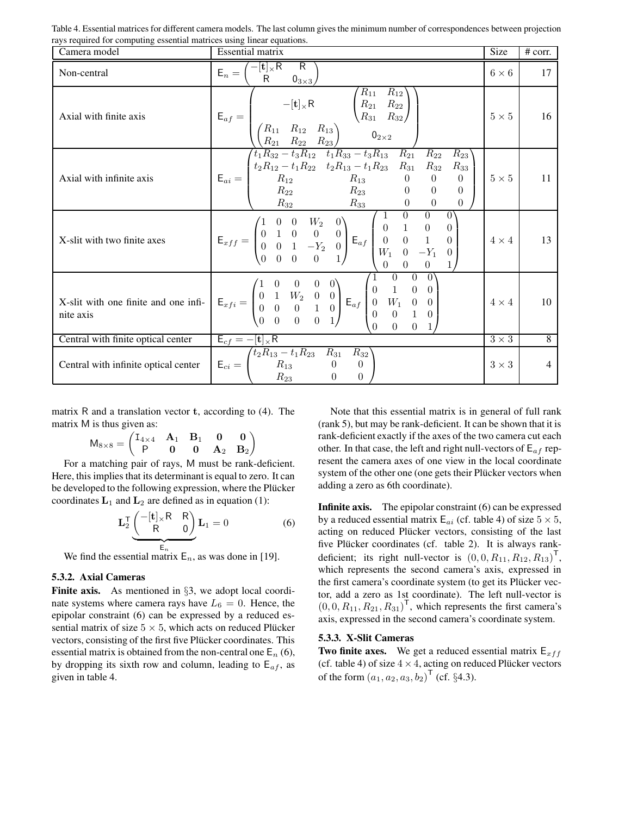Table 4. Essential matrices for different camera models. The last column gives the minimum number of correspondences between projection rays required for computing essential matrices using linear equations.

| Camera model                         | <b>Essential matrix</b>                                                                                                                                                                                                                                                                                                                                                                | Size         | $\overline{\#}$ corr. |
|--------------------------------------|----------------------------------------------------------------------------------------------------------------------------------------------------------------------------------------------------------------------------------------------------------------------------------------------------------------------------------------------------------------------------------------|--------------|-----------------------|
| Non-central                          | $\overline{R}$<br>$[-[t]_{\times}R]$<br>${\mathsf E}_n =$<br>$\mathsf{R}$<br>$0_{3\times3}$                                                                                                                                                                                                                                                                                            | $6 \times 6$ | 17                    |
| Axial with finite axis               | $R_{11}$ $R_{12}$<br>$\mathsf{E}_{af} = \begin{pmatrix} -[\mathbf{t}]_{\times} R & \begin{pmatrix} R_{21} & R_{22} \\ R_{21} & R_{22} \end{pmatrix} \\ \begin{pmatrix} R_{11} & R_{12} & R_{13} \\ R_{21} & R_{22} & R_{23} \end{pmatrix} & 0_{2\times 2} \end{pmatrix}$                                                                                                               | $5 \times 5$ | -16                   |
| Axial with infinite axis             | $\sqrt{t_1R_{32}-t_3R_{12}-t_1R_{33}-t_3R_{13}-R_{21}}$<br>$R_{22}$<br>$R_{23}$<br>$\mathsf{E}_{ai} = \left( \begin{array}{cccccc} t_2 R_{12} - t_1 R_{22} & t_2 R_{13} - t_1 R_{23} & R_{31} & R_{32} & R_{33} \\ R_{12} & R_{13} & 0 & 0 & 0 \\ R_{22} & R_{23} & 0 & 0 & 0 \end{array} \right)$<br>$R_{32}$<br>0<br>$\overline{0}$<br>$R_{33}$<br>$\Omega$                          | $5 \times 5$ | 11                    |
| X-slit with two finite axes          | $\theta$<br>$\begin{matrix} 0 \end{matrix}$<br>$\mathsf{E}_{xff} = \begin{pmatrix} 1 & 0 & 0 & W_2 & 0 \\ 0 & 1 & 0 & 0 & 0 \\ 0 & 0 & 1 & -Y_2 & 0 \\ 0 & 0 & 0 & 0 & 1 \end{pmatrix} \mathsf{E}_{af} \begin{pmatrix} 1 & 0 & 0 & 0 \\ 0 & 1 & 0 & 0 \\ 0 & 0 & 1 & 0 \\ W_1 & 0 & -Y_1 & 0 \\ 0 & 0 & 0 & 1 \end{pmatrix}$                                                           | $4 \times 4$ | 13                    |
|                                      | $\overline{0}$<br>$\left( 0 \right)$<br>$\overline{0}$<br>X-slit with one finite and one infi-<br>nite axis<br>$\mathsf{E}_{xfi} = \begin{pmatrix} 1 & 0 & 0 & 0 & 0 \\ 0 & 1 & W_2 & 0 & 0 \\ 0 & 0 & 0 & 1 & 0 \\ 0 & 0 & 0 & 0 & 1 \end{pmatrix} \mathsf{E}_{af} \begin{pmatrix} 1 & 0 & 0 & 0 \\ 0 & 1 & 0 & 0 \\ 0 & W_1 & 0 & 0 \\ 0 & 0 & 1 & 0 \\ 0 & 0 & 0 & 0 \end{pmatrix}$ | $4\times4$   | 10                    |
| Central with finite optical center   | $E_{cf} = -[\mathbf{t}]_{\times}R$                                                                                                                                                                                                                                                                                                                                                     | $3 \times 3$ | $\overline{8}$        |
| Central with infinite optical center | $(t_2R_{13}-t_1R_{23}$ $R_{31}$ $R_{32})$<br>$R_{13}$ 0<br>$R_{23}$ 0<br>$\overline{0}$<br>$E_{ci} =$<br>$R_{23}$<br>$\Omega$                                                                                                                                                                                                                                                          | $3 \times 3$ | 4                     |

matrix  $R$  and a translation vector  $t$ , according to  $(4)$ . The matrix M is thus given as:

$$
\mathsf{M}_{8 \times 8} = \begin{pmatrix} \mathsf{I}_{4 \times 4} & \mathbf{A}_1 & \mathbf{B}_1 & \mathbf{0} & \mathbf{0} \\ \mathsf{P} & \mathbf{0} & \mathbf{0} & \mathbf{A}_2 & \mathbf{B}_2 \end{pmatrix}
$$

For a matching pair of rays, M must be rank-deficient. Here, this implies that its determinant is equal to zero. It can be developed to the following expression, where the Plücker coordinates  $L_1$  and  $L_2$  are defined as in equation (1):

$$
\mathbf{L}_2^{\mathsf{T}}\underbrace{\begin{pmatrix} -[\mathbf{t}]_\times R & R \\ R & 0 \end{pmatrix}} \mathbf{L}_1 = 0 \tag{6}
$$

We find the essential matrix  $E_n$ , as was done in [19].

## **5.3.2. Axial Cameras**

**Finite axis.** As mentioned in §3, we adopt local coordinate systems where camera rays have  $L_6 = 0$ . Hence, the epipolar constraint (6) can be expressed by a reduced essential matrix of size  $5 \times 5$ , which acts on reduced Plücker vectors, consisting of the first five Plücker coordinates. This essential matrix is obtained from the non-central one  $E_n$  (6), by dropping its sixth row and column, leading to  $E_{af}$ , as given in table 4.

Note that this essential matrix is in general of full rank (rank 5), but may be rank-deficient. It can be shown that it is rank-deficient exactly if the axes of the two camera cut each other. In that case, the left and right null-vectors of  $E_{af}$  represent the camera axes of one view in the local coordinate system of the other one (one gets their Plücker vectors when adding a zero as 6th coordinate).

**Infinite axis.** The epipolar constraint (6) can be expressed by a reduced essential matrix  $E_{ai}$  (cf. table 4) of size  $5 \times 5$ , acting on reduced Plücker vectors, consisting of the last five Plücker coordinates (cf. table 2). It is always rankdeficient; its right null-vector is  $(0, 0, R_{11}, R_{12}, R_{13})^{\mathsf{T}}$ , which represents the second camera's axis, expressed in the first camera's coordinate system (to get its Plücker vector, add a zero as 1st coordinate). The left null-vector is  $(0, 0, R_{11}, R_{21}, R_{31})^T$ , which represents the first camera's axis, expressed in the second camera's coordinate system.

#### **5.3.3. X-Slit Cameras**

**Two finite axes.** We get a reduced essential matrix  $E_{xff}$ (cf. table 4) of size  $4 \times 4$ , acting on reduced Plücker vectors of the form  $(a_1, a_2, a_3, b_2)^\mathsf{T}$  (cf. §4.3).